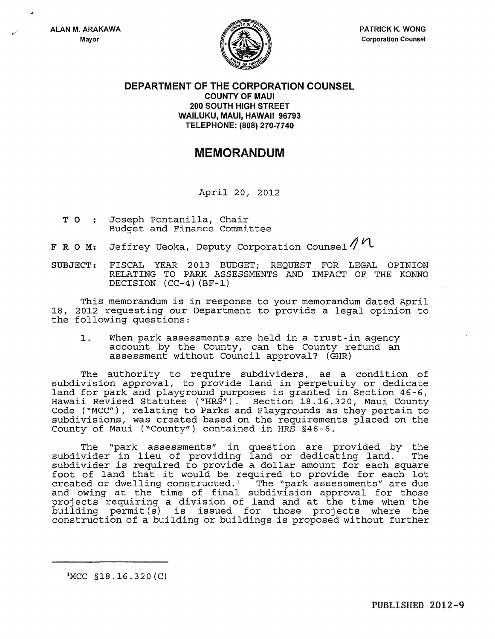..



## DEPARTMENT OF THE CORPORATION COUNSEL COUNTY OF MAUl 200 SOUTH HIGH STREET WAILUKU, MAUl, HAWAII 96793 TELEPHONE: (808) 270-7740

## MEMORANDUM

April 20, 2012

- T 0 Joseph Pontanilla, Chair Budget and Finance Committee
- **F R O M:** Jeffrey Ueoka, Deputy Corporation Counsel  $\mathcal{M}$

SUBJECT: FISCAL YEAR 2013 BUDGET; REQUEST FOR LEGAL OPINION RELATING TO PARK ASSESSMENTS AND IMPACT OF THE KONNO DECISION *(CC-4)* (BF-1)

This memorandum is in response to your memorandum dated April 18, 2012 requesting our Department to provide a legal opinion to the following questions:

1. When park assessments are held in a trust-in agency account by the County, can the County refund an assessment without Council approval? (GHR)

The authority to require subdividers, as a condition of subdivision approval, to provide land in perpetuity or dedicate land for park and playground purposes is granted in Section 46-6, Hawaii Revised Statutes ("HRS"). Section 18.16.320, Maui County Code ("MCC"), relating to Parks and Playgrounds as they pertain to subdivisions, was created based on the requirements placed on the County of Maui ("County") contained in HRS §46-6.

The "park assessments" in question are provided by the subdivider in lieu of providing land or dedicating land. The subdivider in fied of providing fand of dedicating fand. The<br>subdivider is required to provide a dollar amount for each square foot of land that it would be required to provide for each lot created or dwelling constructed.<sup>1</sup> The "park assessments" are due created or dwelling constructed.<sup>1</sup> and owing at the time of final subdivision approval for those projects requiring a division of land and at the time when the building permit(s) is issued for those projects where the construction of a building or buildings is proposed without further

lMCC *§18.16.320(C)*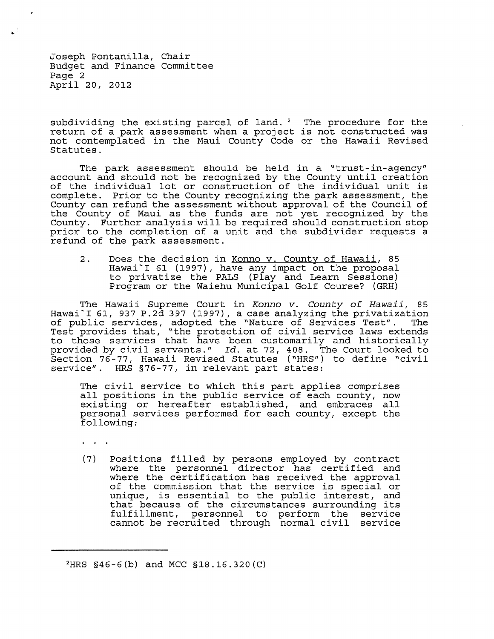Joseph Pontanilla, Chair Budget and Finance Committee Page 2 April 20, 2012

subdividing the existing parcel of land.<sup>2</sup> The procedure for the return of a park assessment when a project is not constructed was not contemplated in the Maui County Code or the Hawaii Revised Statutes.

The park assessment should be held in a "trust-in-agency" account and should not be recognized by the County until creation of the individual lot or construction of the individual unit is complete. Prior to the County recognizing the park assessment, the County can refund the assessment without approval of the Council of the County of Maui as the funds are not yet recognized by the County. Further analysis will be required should construction stop prior to the completion of a unit and the subdivider requests a refund of the park assessment.

2. Does the decision in <u>Konno v. County of Hawaii</u>, 85 Boos one docubion in <u>Romno recomming the neutr</u>y of to privatize the PALS (Play and Learn Sessions) Program or the Waiehu Municipal Golf Course? (GRH)

The Hawaii Supreme Court in Konno v. County of Hawaii, 85 Hawai'I 61, 937 P.2d 397 (1997), a case analyzing the privatization of public services, adopted the "Nature of Services Test". The Of public services, adopted the nature of Bervices rest . The<br>Test provides that, "the protection of civil service laws extends to those services that have been customarily and historically provided by civil servants." *Id.* at 72, 408. The Court looked to Section 76-77, Hawaii Revised Statutes ("HRS") to define "civil service". HRS §76-77, in relevant part states:

The civil service to which this part applies comprises all positions in the public service of each county, now air positions in the public service of each county, now<br>existing or hereafter established, and embraces all personal services performed for each county, except the following:

. . .

(7) Positions filled by persons employed by contract where the personnel director has certified and where the certification has received the approval of the commission that the service is special or unique, is essential to the public interest, and that because of the circumstances surrounding its fulfillment, personnel to perform the service cannot be recruited through normal civil service

<sup>2</sup>HRS §46-6(b) and MCC §18.16.320(C)